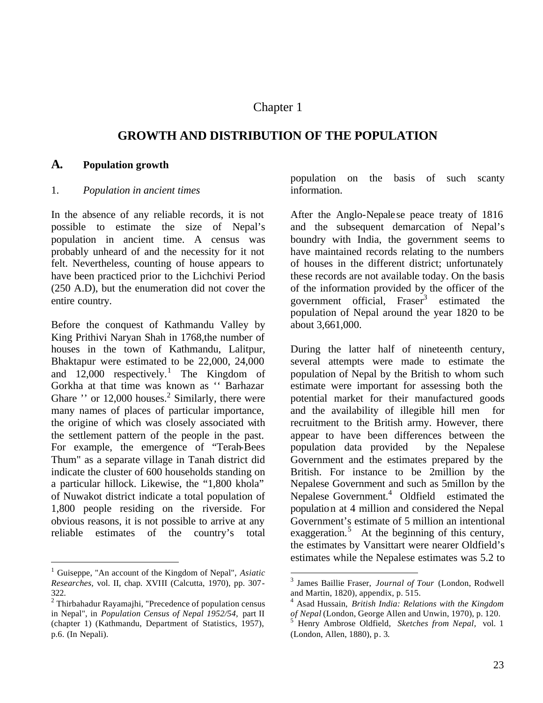# Chapter 1

# **GROWTH AND DISTRIBUTION OF THE POPULATION**

 $\overline{a}$ 

#### **A. Population growth**

#### 1. *Population in ancient times*

In the absence of any reliable records, it is not possible to estimate the size of Nepal's population in ancient time. A census was probably unheard of and the necessity for it not felt. Nevertheless, counting of house appears to have been practiced prior to the Lichchivi Period (250 A.D), but the enumeration did not cover the entire country.

Before the conquest of Kathmandu Valley by King Prithivi Naryan Shah in 1768,the number of houses in the town of Kathmandu, Lalitpur, Bhaktapur were estimated to be 22,000, 24,000 and  $12,000$  respectively.<sup>1</sup> The Kingdom of Gorkha at that time was known as '' Barhazar Ghare  $\cdot$  or 12,000 houses.<sup>2</sup> Similarly, there were many names of places of particular importance, the origine of which was closely associated with the settlement pattern of the people in the past. For example, the emergence of "Terah-Bees Thum" as a separate village in Tanah district did indicate the cluster of 600 households standing on a particular hillock. Likewise, the "1,800 khola" of Nuwakot district indicate a total population of 1,800 people residing on the riverside. For obvious reasons, it is not possible to arrive at any reliable estimates of the country's total

 $\overline{a}$ 

population on the basis of such scanty information.

After the Anglo-Nepalese peace treaty of 1816 and the subsequent demarcation of Nepal's boundry with India, the government seems to have maintained records relating to the numbers of houses in the different district; unfortunately these records are not available today. On the basis of the information provided by the officer of the government official, Fraser<sup>3</sup> estimated the population of Nepal around the year 1820 to be about 3,661,000.

During the latter half of nineteenth century, several attempts were made to estimate the population of Nepal by the British to whom such estimate were important for assessing both the potential market for their manufactured goods and the availability of illegible hill men for recruitment to the British army. However, there appear to have been differences between the population data provided by the Nepalese Government and the estimates prepared by the British. For instance to be 2million by the Nepalese Government and such as 5millon by the Nepalese Government.<sup>4</sup> Oldfield estimated the population at 4 million and considered the Nepal Government's estimate of 5 million an intentional exaggeration.<sup>5</sup> At the beginning of this century, the estimates by Vansittart were nearer Oldfield's estimates while the Nepalese estimates was 5.2 to

<sup>&</sup>lt;sup>1</sup> Guiseppe, "An account of the Kingdom of Nepal", *Asiatic Researches,* vol. II, chap. XVIII (Calcutta, 1970), pp. 307- 322.

 $2$  Thirbahadur Rayamajhi, "Precedence of population census in Nepal", in *Population Census of Nepal 1952/54,* part II (chapter 1) (Kathmandu, Department of Statistics, 1957), p.6. (In Nepali).

<sup>3</sup> James Baillie Fraser, *Journal of Tour* (London, Rodwell and Martin, 1820), appendix, p. 515.

<sup>4</sup> Asad Hussain, *British India: Relations with the Kingdom of Nepal* (London, George Allen and Unwin, 1970), p. 120. 5 Henry Ambrose Oldfield, *Sketches from Nepal,* vol. 1 (London, Allen, 1880), p. 3.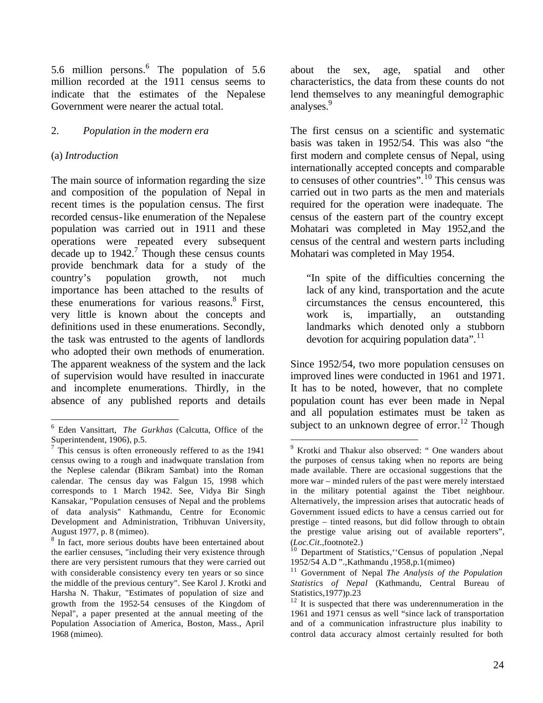5.6 million persons.<sup>6</sup> The population of 5.6 million recorded at the 1911 census seems to indicate that the estimates of the Nepalese Government were nearer the actual total.

## 2. *Population in the modern era*

### (a) *Introduction*

The main source of information regarding the size and composition of the population of Nepal in recent times is the population census. The first recorded census-like enumeration of the Nepalese population was carried out in 1911 and these operations were repeated every subsequent decade up to  $1942$ .<sup>7</sup> Though these census counts provide benchmark data for a study of the country's population growth, not much importance has been attached to the results of these enumerations for various reasons.<sup>8</sup> First, very little is known about the concepts and definitions used in these enumerations. Secondly, the task was entrusted to the agents of landlords who adopted their own methods of enumeration. The apparent weakness of the system and the lack of supervision would have resulted in inaccurate and incomplete enumerations. Thirdly, in the absence of any published reports and details

about the sex, age, spatial and other characteristics, the data from these counts do not lend themselves to any meaningful demographic analyses.<sup>9</sup>

The first census on a scientific and systematic basis was taken in 1952/54. This was also "the first modern and complete census of Nepal, using internationally accepted concepts and comparable to censuses of other countries".<sup>10</sup> This census was carried out in two parts as the men and materials required for the operation were inadequate. The census of the eastern part of the country except Mohatari was completed in May 1952,and the census of the central and western parts including Mohatari was completed in May 1954.

"In spite of the difficulties concerning the lack of any kind, transportation and the acute circumstances the census encountered, this work is, impartially, an outstanding landmarks which denoted only a stubborn devotion for acquiring population data". $11$ 

Since 1952/54, two more population censuses on improved lines were conducted in 1961 and 1971. It has to be noted, however, that no complete population count has ever been made in Nepal and all population estimates must be taken as subject to an unknown degree of error.<sup>12</sup> Though

 $\overline{a}$ 6 Eden Vansittart, *The Gurkhas* (Calcutta, Office of the Superintendent, 1906), p.5.

<sup>&</sup>lt;sup>7</sup> This census is often erroneously reffered to as the 1941 census owing to a rough and inadwquate translation from the Neplese calendar (Bikram Sambat) into the Roman calendar. The census day was Falgun 15, 1998 which corresponds to 1 March 1942. See, Vidya Bir Singh Kansakar, "Population censuses of Nepal and the problems of data analysis" Kathmandu, Centre for Economic Development and Administration, Tribhuvan University, August 1977, p. 8 (mimeo).

<sup>&</sup>lt;sup>8</sup> In fact, more serious doubts have been entertained about the earlier censuses, "including their very existence through there are very persistent rumours that they were carried out with considerable consistency every ten years or so since the middle of the previous century". See Karol J. Krotki and Harsha N. Thakur, "Estimates of population of size and growth from the 1952-54 censuses of the Kingdom of Nepal", a paper presented at the annual meeting of the Population Association of America, Boston, Mass., April 1968 (mimeo).

<sup>&</sup>lt;sup>9</sup> Krotki and Thakur also observed: " One wanders about the purposes of census taking when no reports are being made available. There are occasional suggestions that the more war – minded rulers of the past were merely interstaed in the military potential against the Tibet neighbour. Alternatively, the impression arises that autocratic heads of Government issued edicts to have a census carried out for prestige – tinted reasons, but did follow through to obtain the prestige value arising out of available reporters", (*Loc.Cit*.,footnote2.)

<sup>10</sup> Department of Statistics,''Census of population ,Nepal 1952/54 A.D ".,Kathmandu ,1958,p.1(mimeo)

<sup>11</sup> Government of Nepal *The Analysis of the Population Statistics of Nepal* (Kathmandu, Central Bureau of Statistics,1977)p.23

 $12$  It is suspected that there was underennumeration in the 1961 and 1971 census as well "since lack of transportation and of a communication infrastructure plus inability to control data accuracy almost certainly resulted for both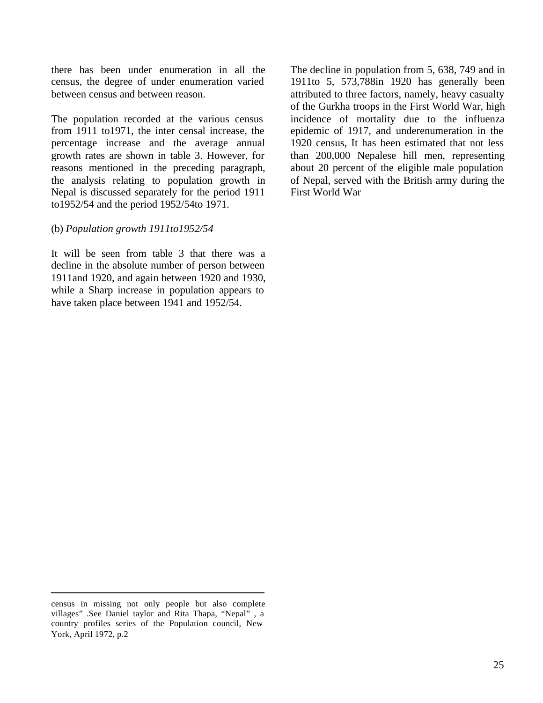there has been under enumeration in all the census, the degree of under enumeration varied between census and between reason.

The population recorded at the various census from 1911 to1971, the inter censal increase, the percentage increase and the average annual growth rates are shown in table 3. However, for reasons mentioned in the preceding paragraph, the analysis relating to population growth in Nepal is discussed separately for the period 1911 to1952/54 and the period 1952/54to 1971.

#### (b) *Population growth 1911to1952/54*

It will be seen from table 3 that there was a decline in the absolute number of person between 1911and 1920, and again between 1920 and 1930, while a Sharp increase in population appears to have taken place between 1941 and 1952/54.

The decline in population from 5, 638, 749 and in 1911to 5, 573,788in 1920 has generally been attributed to three factors, namely, heavy casualty of the Gurkha troops in the First World War, high incidence of mortality due to the influenza epidemic of 1917, and underenumeration in the 1920 census, It has been estimated that not less than 200,000 Nepalese hill men, representing about 20 percent of the eligible male population of Nepal, served with the British army during the First World War

census in missing not only people but also complete villages" .See Daniel taylor and Rita Thapa, "Nepal" , a country profiles series of the Population council, New York, April 1972, p.2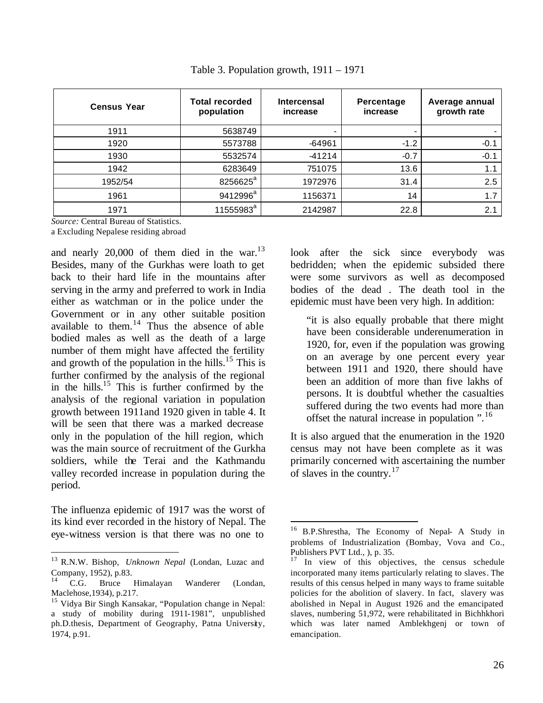| <b>Census Year</b> | <b>Total recorded</b><br>population | <b>Intercensal</b><br>increase | Percentage<br>increase   | Average annual<br>growth rate |
|--------------------|-------------------------------------|--------------------------------|--------------------------|-------------------------------|
| 1911               | 5638749                             |                                | $\overline{\phantom{a}}$ |                               |
| 1920               | 5573788                             | -64961                         | $-1.2$                   | $-0.1$                        |
| 1930               | 5532574                             | $-41214$                       | $-0.7$                   | $-0.1$                        |
| 1942               | 6283649                             | 751075                         | 13.6                     | 1.1                           |
| 1952/54            | 8256625 <sup>a</sup>                | 1972976                        | 31.4                     | 2.5                           |
| 1961               | 9412996 <sup>a</sup>                | 1156371                        | 14                       | 1.7                           |
| 1971               | 11555983 <sup>a</sup>               | 2142987                        | 22.8                     | 2.1                           |

 $\overline{a}$ 

Table 3. Population growth, 1911 – 1971

*Source:* Central Bureau of Statistics.

a Excluding Nepalese residing abroad

and nearly  $20,000$  of them died in the war.<sup>13</sup> Besides, many of the Gurkhas were loath to get back to their hard life in the mountains after serving in the army and preferred to work in India either as watchman or in the police under the Government or in any other suitable position available to them.<sup>14</sup> Thus the absence of able bodied males as well as the death of a large number of them might have affected the fertility and growth of the population in the hills.<sup>15</sup> This is further confirmed by the analysis of the regional in the hills.<sup>15</sup> This is further confirmed by the analysis of the regional variation in population growth between 1911and 1920 given in table 4. It will be seen that there was a marked decrease only in the population of the hill region, which was the main source of recruitment of the Gurkha soldiers, while the Terai and the Kathmandu valley recorded increase in population during the period.

The influenza epidemic of 1917 was the worst of its kind ever recorded in the history of Nepal. The eye-witness version is that there was no one to

 $\overline{a}$ 

look after the sick since everybody was bedridden; when the epidemic subsided there were some survivors as well as decomposed bodies of the dead . The death tool in the epidemic must have been very high. In addition:

"it is also equally probable that there might have been considerable underenumeration in 1920, for, even if the population was growing on an average by one percent every year between 1911 and 1920, there should have been an addition of more than five lakhs of persons. It is doubtful whether the casualties suffered during the two events had more than offset the natural increase in population ".<sup>16</sup>

It is also argued that the enumeration in the 1920 census may not have been complete as it was primarily concerned with ascertaining the number of slaves in the country.<sup>17</sup>

<sup>13</sup> R.N.W. Bishop, *Unknown Nepal* (Londan, Luzac and Company, 1952), p.83.<br><sup>14</sup> C.G. Bruce

Bruce Himalayan Wanderer (Londan, Maclehose,1934), p.217.

<sup>15</sup> Vidya Bir Singh Kansakar, "Population change in Nepal: a study of mobility during 1911-1981", unpublished ph.D.thesis, Department of Geography, Patna University, 1974, p.91.

<sup>16</sup> B.P.Shrestha, The Economy of Nepal- A Study in problems of Industrialization (Bombay, Vova and Co., Publishers PVT Ltd., ), p. 35.

 $17$  In view of this objectives, the census schedule incorporated many items particularly relating to slaves. The results of this census helped in many ways to frame suitable policies for the abolition of slavery. In fact, slavery was abolished in Nepal in August 1926 and the emancipated slaves, numbering 51,972, were rehabilitated in Bichhkhori which was later named Amblekhgenj or town of emancipation.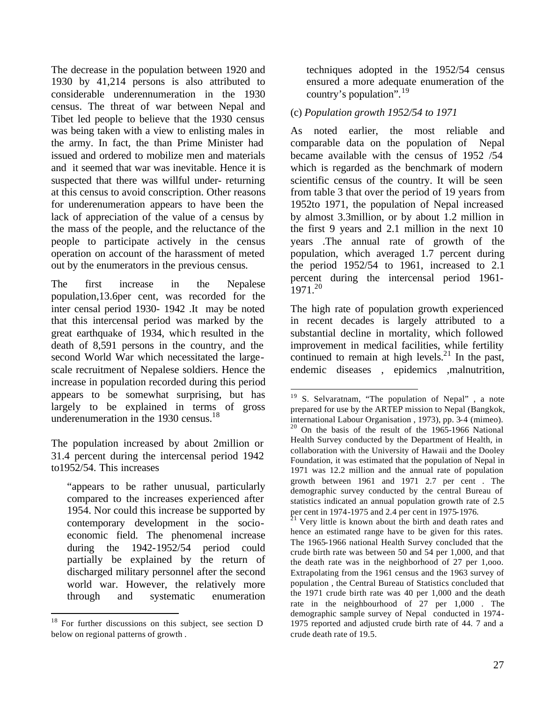The decrease in the population between 1920 and 1930 by 41,214 persons is also attributed to considerable underennumeration in the 1930 census. The threat of war between Nepal and Tibet led people to believe that the 1930 census was being taken with a view to enlisting males in the army. In fact, the than Prime Minister had issued and ordered to mobilize men and materials and it seemed that war was inevitable. Hence it is suspected that there was willful under- returning at this census to avoid conscription. Other reasons for underenumeration appears to have been the lack of appreciation of the value of a census by the mass of the people, and the reluctance of the people to participate actively in the census operation on account of the harassment of meted out by the enumerators in the previous census.

The first increase in the Nepalese population,13.6per cent, was recorded for the inter censal period 1930- 1942 .It may be noted that this intercensal period was marked by the great earthquake of 1934, which resulted in the death of 8,591 persons in the country, and the second World War which necessitated the largescale recruitment of Nepalese soldiers. Hence the increase in population recorded during this period appears to be somewhat surprising, but has largely to be explained in terms of gross underenumeration in the 1930 census.<sup>18</sup>

The population increased by about 2million or 31.4 percent during the intercensal period 1942 to1952/54. This increases

"appears to be rather unusual, particularly compared to the increases experienced after 1954. Nor could this increase be supported by contemporary development in the socioeconomic field. The phenomenal increase during the 1942-1952/54 period could partially be explained by the return of discharged military personnel after the second world war. However, the relatively more through and systematic enumeration

 $\overline{a}$ 

techniques adopted in the 1952/54 census ensured a more adequate enumeration of the country's population".<sup>19</sup>

# (c) *Population growth 1952/54 to 1971*

As noted earlier, the most reliable and comparable data on the population of Nepal became available with the census of 1952 /54 which is regarded as the benchmark of modern scientific census of the country. It will be seen from table 3 that over the period of 19 years from 1952to 1971, the population of Nepal increased by almost 3.3million, or by about 1.2 million in the first 9 years and 2.1 million in the next 10 years .The annual rate of growth of the population, which averaged 1.7 percent during the period 1952/54 to 1961, increased to 2.1 percent during the intercensal period 1961-  $1971^{20}$ 

The high rate of population growth experienced in recent decades is largely attributed to a substantial decline in mortality, which followed improvement in medical facilities, while fertility continued to remain at high levels.<sup>21</sup> In the past, endemic diseases, epidemics ,malnutrition,

 $18$  For further discussions on this subject, see section D below on regional patterns of growth .

 $\overline{a}$ <sup>19</sup> S. Selvaratnam, "The population of Nepal", a note prepared for use by the ARTEP mission to Nepal (Bangkok, international Labour Organisation , 1973), pp. 3-4 (mimeo). <sup>20</sup> On the basis of the result of the 1965-1966 National Health Survey conducted by the Department of Health, in collaboration with the University of Hawaii and the Dooley Foundation, it was estimated that the population of Nepal in 1971 was 12.2 million and the annual rate of population growth between 1961 and 1971 2.7 per cent . The demographic survey conducted by the central Bureau of statistics indicated an annual population growth rate of 2.5 per cent in 1974-1975 and 2.4 per cent in 1975-1976.

 $2<sup>1</sup>$  Very little is known about the birth and death rates and hence an estimated range have to be given for this rates. The 1965-1966 national Health Survey concluded that the crude birth rate was between 50 and 54 per 1,000, and that the death rate was in the neighborhood of 27 per 1,ooo. Extrapolating from the 1961 census and the 1963 survey of population , the Central Bureau of Statistics concluded that the 1971 crude birth rate was 40 per 1,000 and the death rate in the neighbourhood of 27 per 1,000 . The demographic sample survey of Nepal conducted in 1974- 1975 reported and adjusted crude birth rate of 44. 7 and a crude death rate of 19.5.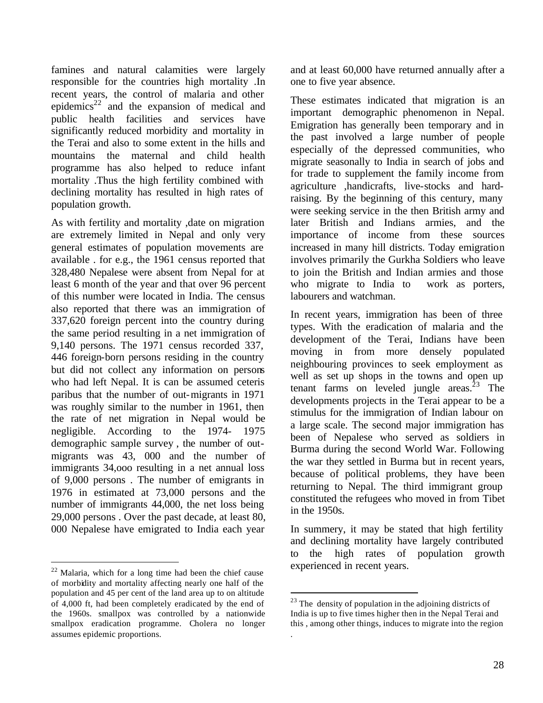famines and natural calamities were largely responsible for the countries high mortality .In recent years, the control of malaria and other epidemics<sup>22</sup> and the expansion of medical and public health facilities and services have significantly reduced morbidity and mortality in the Terai and also to some extent in the hills and mountains the maternal and child health programme has also helped to reduce infant mortality .Thus the high fertility combined with declining mortality has resulted in high rates of population growth.

As with fertility and mortality ,date on migration are extremely limited in Nepal and only very general estimates of population movements are available . for e.g., the 1961 census reported that 328,480 Nepalese were absent from Nepal for at least 6 month of the year and that over 96 percent of this number were located in India. The census also reported that there was an immigration of 337,620 foreign percent into the country during the same period resulting in a net immigration of 9,140 persons. The 1971 census recorded 337, 446 foreign-born persons residing in the country but did not collect any information on persons who had left Nepal. It is can be assumed ceteris paribus that the number of out-migrants in 1971 was roughly similar to the number in 1961, then the rate of net migration in Nepal would be negligible. According to the 1974- 1975 demographic sample survey , the number of outmigrants was 43, 000 and the number of immigrants 34,ooo resulting in a net annual loss of 9,000 persons . The number of emigrants in 1976 in estimated at 73,000 persons and the number of immigrants 44,000, the net loss being 29,000 persons . Over the past decade, at least 80, 000 Nepalese have emigrated to India each year

 $\overline{a}$ 

and at least 60,000 have returned annually after a one to five year absence.

These estimates indicated that migration is an important demographic phenomenon in Nepal. Emigration has generally been temporary and in the past involved a large number of people especially of the depressed communities, who migrate seasonally to India in search of jobs and for trade to supplement the family income from agriculture ,handicrafts, live-stocks and hardraising. By the beginning of this century, many were seeking service in the then British army and later British and Indians armies, and the importance of income from these sources increased in many hill districts. Today emigration involves primarily the Gurkha Soldiers who leave to join the British and Indian armies and those who migrate to India to work as porters, labourers and watchman.

In recent years, immigration has been of three types. With the eradication of malaria and the development of the Terai, Indians have been moving in from more densely populated neighbouring provinces to seek employment as well as set up shops in the towns and open up tenant farms on leveled jungle areas. $23$  The developments projects in the Terai appear to be a stimulus for the immigration of Indian labour on a large scale. The second major immigration has been of Nepalese who served as soldiers in Burma during the second World War. Following the war they settled in Burma but in recent years, because of political problems, they have been returning to Nepal. The third immigrant group constituted the refugees who moved in from Tibet in the 1950s.

In summery, it may be stated that high fertility and declining mortality have largely contributed to the high rates of population growth experienced in recent years.

 $\overline{a}$ 

.

 $22$  Malaria, which for a long time had been the chief cause of morbidity and mortality affecting nearly one half of the population and 45 per cent of the land area up to on altitude of 4,000 ft, had been completely eradicated by the end of the 1960s. smallpox was controlled by a nationwide smallpox eradication programme. Cholera no longer assumes epidemic proportions.

 $^{23}$  The density of population in the adjoining districts of India is up to five times higher then in the Nepal Terai and this , among other things, induces to migrate into the region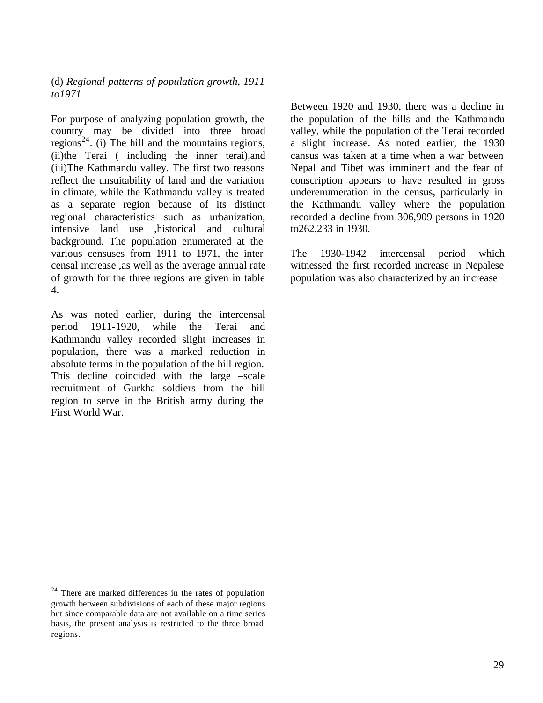(d) *Regional patterns of population growth, 1911 to1971*

For purpose of analyzing population growth, the country may be divided into three broad regions<sup>24</sup>. (i) The hill and the mountains regions, (ii)the Terai ( including the inner terai),and (iii)The Kathmandu valley. The first two reasons reflect the unsuitability of land and the variation in climate, while the Kathmandu valley is treated as a separate region because of its distinct regional characteristics such as urbanization, intensive land use ,historical and cultural background. The population enumerated at the various censuses from 1911 to 1971, the inter censal increase ,as well as the average annual rate of growth for the three regions are given in table 4.

As was noted earlier, during the intercensal period 1911-1920, while the Terai and Kathmandu valley recorded slight increases in population, there was a marked reduction in absolute terms in the population of the hill region. This decline coincided with the large –scale recruitment of Gurkha soldiers from the hill region to serve in the British army during the First World War.

Between 1920 and 1930, there was a decline in the population of the hills and the Kathmandu valley, while the population of the Terai recorded a slight increase. As noted earlier, the 1930 cansus was taken at a time when a war between Nepal and Tibet was imminent and the fear of conscription appears to have resulted in gross underenumeration in the census, particularly in the Kathmandu valley where the population recorded a decline from 306,909 persons in 1920 to262,233 in 1930.

The 1930-1942 intercensal period which witnessed the first recorded increase in Nepalese population was also characterized by an increase

 $24$  There are marked differences in the rates of population growth between subdivisions of each of these major regions but since comparable data are not available on a time series basis, the present analysis is restricted to the three broad regions.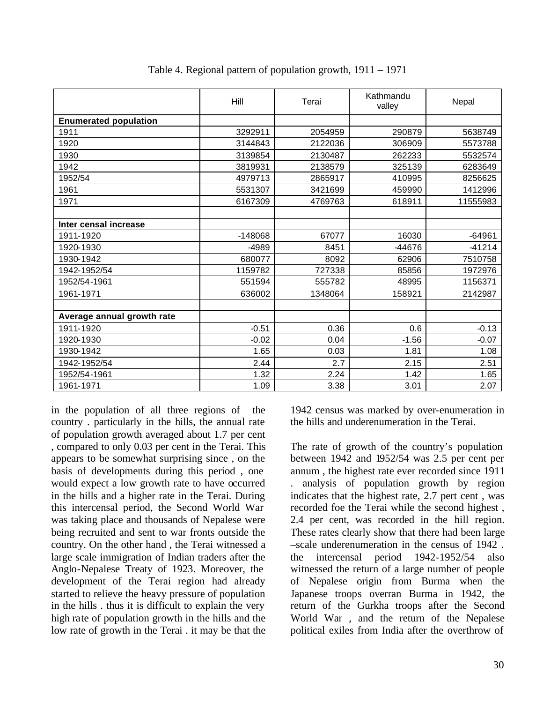|                              | Hill      | Terai   | Kathmandu<br>valley | Nepal    |
|------------------------------|-----------|---------|---------------------|----------|
| <b>Enumerated population</b> |           |         |                     |          |
| 1911                         | 3292911   | 2054959 | 290879              | 5638749  |
| 1920                         | 3144843   | 2122036 | 306909              | 5573788  |
| 1930                         | 3139854   | 2130487 | 262233              | 5532574  |
| 1942                         | 3819931   | 2138579 | 325139              | 6283649  |
| 1952/54                      | 4979713   | 2865917 | 410995              | 8256625  |
| 1961                         | 5531307   | 3421699 | 459990              | 1412996  |
| 1971                         | 6167309   | 4769763 | 618911              | 11555983 |
|                              |           |         |                     |          |
| Inter censal increase        |           |         |                     |          |
| 1911-1920                    | $-148068$ | 67077   | 16030               | $-64961$ |
| 1920-1930                    | -4989     | 8451    | -44676              | $-41214$ |
| 1930-1942                    | 680077    | 8092    | 62906               | 7510758  |
| 1942-1952/54                 | 1159782   | 727338  | 85856               | 1972976  |
| 1952/54-1961                 | 551594    | 555782  | 48995               | 1156371  |
| 1961-1971                    | 636002    | 1348064 | 158921              | 2142987  |
|                              |           |         |                     |          |
| Average annual growth rate   |           |         |                     |          |
| 1911-1920                    | $-0.51$   | 0.36    | 0.6                 | $-0.13$  |
| 1920-1930                    | $-0.02$   | 0.04    | $-1.56$             | $-0.07$  |
| 1930-1942                    | 1.65      | 0.03    | 1.81                | 1.08     |
| 1942-1952/54                 | 2.44      | 2.7     | 2.15                | 2.51     |
| 1952/54-1961                 | 1.32      | 2.24    | 1.42                | 1.65     |
| 1961-1971                    | 1.09      | 3.38    | 3.01                | 2.07     |

Table 4. Regional pattern of population growth, 1911 – 1971

in the population of all three regions of the country . particularly in the hills, the annual rate of population growth averaged about 1.7 per cent , compared to only 0.03 per cent in the Terai. This appears to be somewhat surprising since , on the basis of developments during this period , one would expect a low growth rate to have occurred in the hills and a higher rate in the Terai. During this intercensal period, the Second World War was taking place and thousands of Nepalese were being recruited and sent to war fronts outside the country. On the other hand , the Terai witnessed a large scale immigration of Indian traders after the Anglo-Nepalese Treaty of 1923. Moreover, the development of the Terai region had already started to relieve the heavy pressure of population in the hills . thus it is difficult to explain the very high rate of population growth in the hills and the low rate of growth in the Terai . it may be that the

1942 census was marked by over-enumeration in the hills and underenumeration in the Terai.

The rate of growth of the country's population between 1942 and 1952/54 was 2.5 per cent per annum , the highest rate ever recorded since 1911 . analysis of population growth by region indicates that the highest rate, 2.7 pert cent , was recorded foe the Terai while the second highest , 2.4 per cent, was recorded in the hill region. These rates clearly show that there had been large –scale underenumeration in the census of 1942 . the intercensal period 1942-1952/54 also witnessed the return of a large number of people of Nepalese origin from Burma when the Japanese troops overran Burma in 1942, the return of the Gurkha troops after the Second World War , and the return of the Nepalese political exiles from India after the overthrow of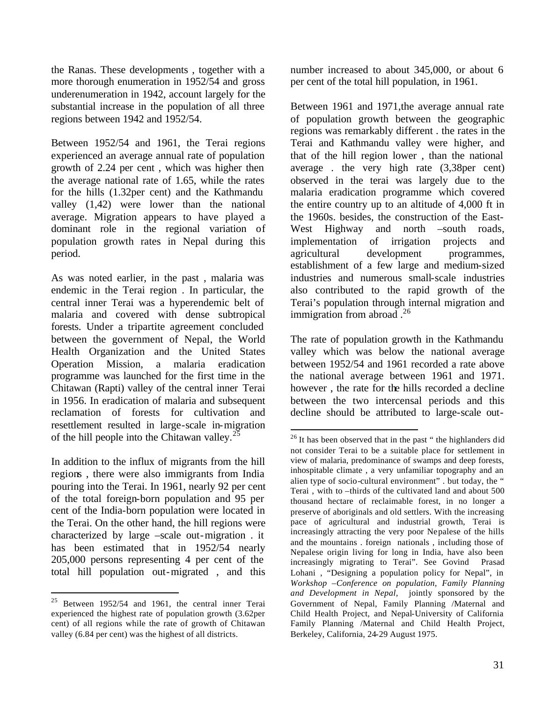the Ranas. These developments , together with a more thorough enumeration in 1952/54 and gross underenumeration in 1942, account largely for the substantial increase in the population of all three regions between 1942 and 1952/54.

Between 1952/54 and 1961, the Terai regions experienced an average annual rate of population growth of 2.24 per cent , which was higher then the average national rate of 1.65, while the rates for the hills (1.32per cent) and the Kathmandu valley (1,42) were lower than the national average. Migration appears to have played a dominant role in the regional variation of population growth rates in Nepal during this period.

As was noted earlier, in the past , malaria was endemic in the Terai region . In particular, the central inner Terai was a hyperendemic belt of malaria and covered with dense subtropical forests. Under a tripartite agreement concluded between the government of Nepal, the World Health Organization and the United States Operation Mission, a malaria eradication programme was launched for the first time in the Chitawan (Rapti) valley of the central inner Terai in 1956. In eradication of malaria and subsequent reclamation of forests for cultivation and resettlement resulted in large-scale in-migration of the hill people into the Chitawan valley.<sup>25</sup>

In addition to the influx of migrants from the hill regions , there were also immigrants from India pouring into the Terai. In 1961, nearly 92 per cent of the total foreign-born population and 95 per cent of the India-born population were located in the Terai. On the other hand, the hill regions were characterized by large –scale out-migration . it has been estimated that in 1952/54 nearly 205,000 persons representing 4 per cent of the total hill population out-migrated , and this

 $\overline{a}$ 

number increased to about 345,000, or about 6 per cent of the total hill population, in 1961.

Between 1961 and 1971,the average annual rate of population growth between the geographic regions was remarkably different . the rates in the Terai and Kathmandu valley were higher, and that of the hill region lower , than the national average . the very high rate (3,38per cent) observed in the terai was largely due to the malaria eradication programme which covered the entire country up to an altitude of 4,000 ft in the 1960s. besides, the construction of the East-West Highway and north –south roads, implementation of irrigation projects and agricultural development programmes, establishment of a few large and medium-sized industries and numerous small-scale industries also contributed to the rapid growth of the Terai's population through internal migration and immigration from abroad .<sup>26</sup>

The rate of population growth in the Kathmandu valley which was below the national average between 1952/54 and 1961 recorded a rate above the national average between 1961 and 1971. however , the rate for the hills recorded a decline between the two intercensal periods and this decline should be attributed to large-scale out-

 $25$  Between 1952/54 and 1961, the central inner Terai experienced the highest rate of population growth (3.62per cent) of all regions while the rate of growth of Chitawan valley (6.84 per cent) was the highest of all districts.

<sup>&</sup>lt;sup>26</sup> It has been observed that in the past " the highlanders did not consider Terai to be a suitable place for settlement in view of malaria, predominance of swamps and deep forests, inhospitable climate , a very unfamiliar topography and an alien type of socio-cultural environment" . but today, the " Terai , with to –thirds of the cultivated land and about 500 thousand hectare of reclaimable forest, in no longer a preserve of aboriginals and old settlers. With the increasing pace of agricultural and industrial growth, Terai is increasingly attracting the very poor Nepalese of the hills and the mountains . foreign nationals , including those of Nepalese origin living for long in India, have also been increasingly migrating to Terai". See Govind Prasad Lohani , "Designing a population policy for Nepal", in *Workshop –Conference on population, Family Planning and Development in Nepal,* jointly sponsored by the Government of Nepal, Family Planning /Maternal and Child Health Project, and Nepal-University of California Family Planning /Maternal and Child Health Project, Berkeley, California, 24-29 August 1975.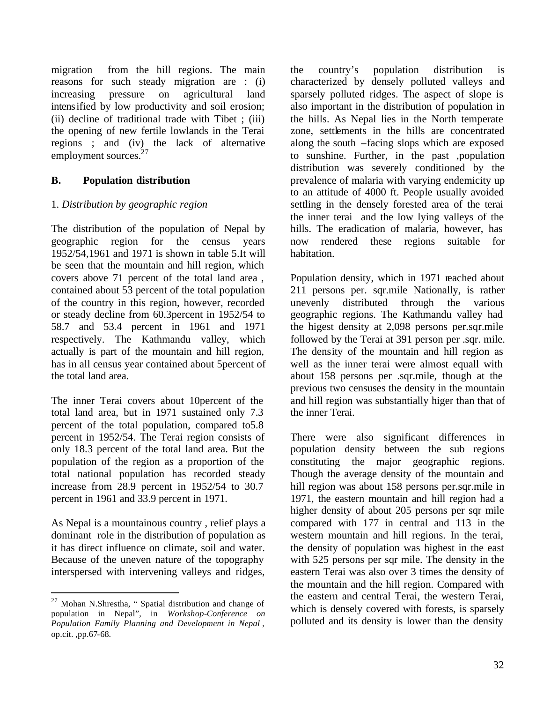migration from the hill regions. The main reasons for such steady migration are : (i) increasing pressure on agricultural land intensified by low productivity and soil erosion; (ii) decline of traditional trade with Tibet ; (iii) the opening of new fertile lowlands in the Terai regions ; and (iv) the lack of alternative employment sources.<sup>27</sup>

# **B. Population distribution**

## 1. *Distribution by geographic region*

The distribution of the population of Nepal by geographic region for the census years 1952/54,1961 and 1971 is shown in table 5.It will be seen that the mountain and hill region, which covers above 71 percent of the total land area , contained about 53 percent of the total population of the country in this region, however, recorded or steady decline from 60.3percent in 1952/54 to 58.7 and 53.4 percent in 1961 and 1971 respectively. The Kathmandu valley, which actually is part of the mountain and hill region, has in all census year contained about 5percent of the total land area.

The inner Terai covers about 10percent of the total land area, but in 1971 sustained only 7.3 percent of the total population, compared to5.8 percent in 1952/54. The Terai region consists of only 18.3 percent of the total land area. But the population of the region as a proportion of the total national population has recorded steady increase from 28.9 percent in 1952/54 to 30.7 percent in 1961 and 33.9 percent in 1971.

As Nepal is a mountainous country , relief plays a dominant role in the distribution of population as it has direct influence on climate, soil and water. Because of the uneven nature of the topography interspersed with intervening valleys and ridges,

 $\overline{a}$ 

the country's population distribution is characterized by densely polluted valleys and sparsely polluted ridges. The aspect of slope is also important in the distribution of population in the hills. As Nepal lies in the North temperate zone, settlements in the hills are concentrated along the south –facing slops which are exposed to sunshine. Further, in the past ,population distribution was severely conditioned by the prevalence of malaria with varying endemicity up to an attitude of 4000 ft. People usually avoided settling in the densely forested area of the terai the inner terai and the low lying valleys of the hills. The eradication of malaria, however, has now rendered these regions suitable for habitation.

Population density, which in 1971 reached about 211 persons per. sqr.mile Nationally, is rather unevenly distributed through the various geographic regions. The Kathmandu valley had the higest density at 2,098 persons per.sqr.mile followed by the Terai at 391 person per .sqr. mile. The density of the mountain and hill region as well as the inner terai were almost equall with about 158 persons per .sqr.mile, though at the previous two censuses the density in the mountain and hill region was substantially higer than that of the inner Terai.

There were also significant differences in population density between the sub regions constituting the major geographic regions. Though the average density of the mountain and hill region was about 158 persons per.sqr.mile in 1971, the eastern mountain and hill region had a higher density of about 205 persons per sqr mile compared with 177 in central and 113 in the western mountain and hill regions. In the terai, the density of population was highest in the east with 525 persons per sqr mile. The density in the eastern Terai was also over 3 times the density of the mountain and the hill region. Compared with the eastern and central Terai, the western Terai, which is densely covered with forests, is sparsely polluted and its density is lower than the density

 $27$  Mohan N.Shrestha, "Spatial distribution and change of population in Nepal", in *Workshop-Conference on Population Family Planning and Development in Nepal* , op.cit. ,pp.67-68.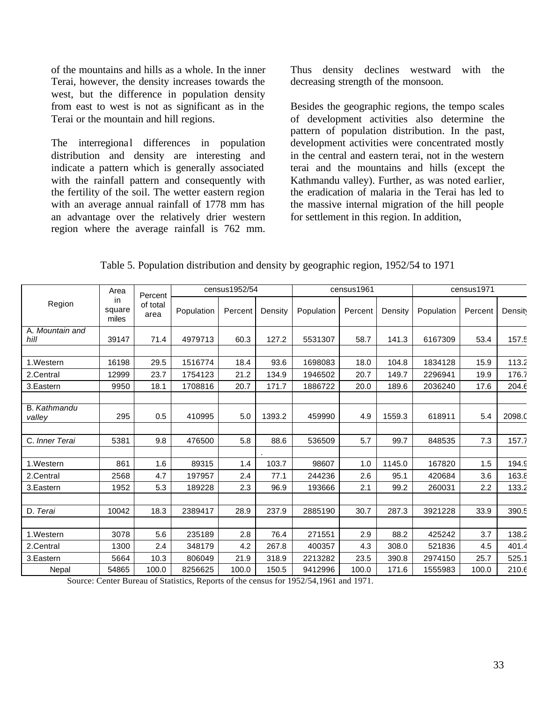of the mountains and hills as a whole. In the inner Terai, however, the density increases towards the west, but the difference in population density from east to west is not as significant as in the Terai or the mountain and hill regions.

The interregional differences in population distribution and density are interesting and indicate a pattern which is generally associated with the rainfall pattern and consequently with the fertility of the soil. The wetter eastern region with an average annual rainfall of 1778 mm has an advantage over the relatively drier western region where the average rainfall is 762 mm. Thus density declines westward with the decreasing strength of the monsoon.

Besides the geographic regions, the tempo scales of development activities also determine the pattern of population distribution. In the past, development activities were concentrated mostly in the central and eastern terai, not in the western terai and the mountains and hills (except the Kathmandu valley). Further, as was noted earlier, the eradication of malaria in the Terai has led to the massive internal migration of the hill people for settlement in this region. In addition,

|                                 | Area             | Percent    |         | census1952/54 |            |         | census1961 |            |         | census1971 |        |
|---------------------------------|------------------|------------|---------|---------------|------------|---------|------------|------------|---------|------------|--------|
| in<br>Region<br>square<br>miles | of total<br>area | Population | Percent | Density       | Population | Percent | Density    | Population | Percent | Density    |        |
| A. Mountain and<br>hill         | 39147            | 71.4       | 4979713 | 60.3          | 127.2      | 5531307 | 58.7       | 141.3      | 6167309 | 53.4       | 157.5  |
|                                 |                  |            |         |               |            |         |            |            |         |            |        |
| 1.Western                       | 16198            | 29.5       | 1516774 | 18.4          | 93.6       | 1698083 | 18.0       | 104.8      | 1834128 | 15.9       | 113.2  |
| 2.Central                       | 12999            | 23.7       | 1754123 | 21.2          | 134.9      | 1946502 | 20.7       | 149.7      | 2296941 | 19.9       | 176.7  |
| 3. Eastern                      | 9950             | 18.1       | 1708816 | 20.7          | 171.7      | 1886722 | 20.0       | 189.6      | 2036240 | 17.6       | 204.6  |
|                                 |                  |            |         |               |            |         |            |            |         |            |        |
| <b>B.</b> Kathmandu<br>valley   | 295              | 0.5        | 410995  | 5.0           | 1393.2     | 459990  | 4.9        | 1559.3     | 618911  | 5.4        | 2098.C |
|                                 |                  |            |         |               |            |         |            |            |         |            |        |
| C. Inner Terai                  | 5381             | 9.8        | 476500  | 5.8           | 88.6       | 536509  | 5.7        | 99.7       | 848535  | 7.3        | 157.7  |
|                                 |                  |            |         |               |            |         |            |            |         |            |        |
| 1.Western                       | 861              | 1.6        | 89315   | 1.4           | 103.7      | 98607   | 1.0        | 1145.0     | 167820  | 1.5        | 194.9  |
| 2.Central                       | 2568             | 4.7        | 197957  | 2.4           | 77.1       | 244236  | 2.6        | 95.1       | 420684  | 3.6        | 163.8  |
| 3.Eastern                       | 1952             | 5.3        | 189228  | 2.3           | 96.9       | 193666  | 2.1        | 99.2       | 260031  | 2.2        | 133.2  |
|                                 |                  |            |         |               |            |         |            |            |         |            |        |
| D. Terai                        | 10042            | 18.3       | 2389417 | 28.9          | 237.9      | 2885190 | 30.7       | 287.3      | 3921228 | 33.9       | 390.5  |
|                                 |                  |            |         |               |            |         |            |            |         |            |        |
| 1.Western                       | 3078             | 5.6        | 235189  | 2.8           | 76.4       | 271551  | 2.9        | 88.2       | 425242  | 3.7        | 138.2  |
| 2.Central                       | 1300             | 2.4        | 348179  | 4.2           | 267.8      | 400357  | 4.3        | 308.0      | 521836  | 4.5        | 401.4  |
| 3.Eastern                       | 5664             | 10.3       | 806049  | 21.9          | 318.9      | 2213282 | 23.5       | 390.8      | 2974150 | 25.7       | 525.1  |
| Nepal                           | 54865            | 100.0      | 8256625 | 100.0         | 150.5      | 9412996 | 100.0      | 171.6      | 1555983 | 100.0      | 210.6  |

Table 5. Population distribution and density by geographic region, 1952/54 to 1971

Source: Center Bureau of Statistics, Reports of the census for 1952/54,1961 and 1971.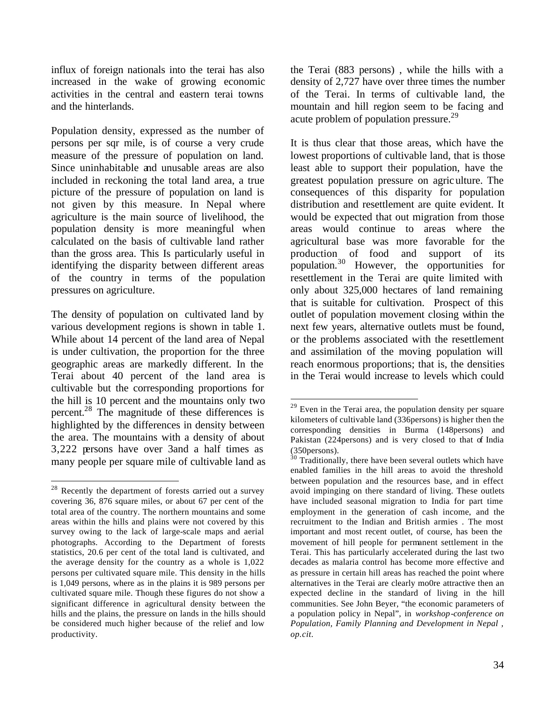influx of foreign nationals into the terai has also increased in the wake of growing economic activities in the central and eastern terai towns and the hinterlands.

Population density, expressed as the number of persons per sqr mile, is of course a very crude measure of the pressure of population on land. Since uninhabitable and unusable areas are also included in reckoning the total land area, a true picture of the pressure of population on land is not given by this measure. In Nepal where agriculture is the main source of livelihood, the population density is more meaningful when calculated on the basis of cultivable land rather than the gross area. This Is particularly useful in identifying the disparity between different areas of the country in terms of the population pressures on agriculture.

The density of population on cultivated land by various development regions is shown in table 1. While about 14 percent of the land area of Nepal is under cultivation, the proportion for the three geographic areas are markedly different. In the Terai about 40 percent of the land area is cultivable but the corresponding proportions for the hill is 10 percent and the mountains only two percent.<sup>28</sup> The magnitude of these differences is highlighted by the differences in density between the area. The mountains with a density of about 3,222 persons have over 3and a half times as many people per square mile of cultivable land as

 $\overline{a}$ 

the Terai (883 persons) , while the hills with a density of 2,727 have over three times the number of the Terai. In terms of cultivable land, the mountain and hill region seem to be facing and acute problem of population pressure.<sup>29</sup>

It is thus clear that those areas, which have the lowest proportions of cultivable land, that is those least able to support their population, have the greatest population pressure on agriculture. The consequences of this disparity for population distribution and resettlement are quite evident. It would be expected that out migration from those areas would continue to areas where the agricultural base was more favorable for the production of food and support of its population.<sup>30</sup> However, the opportunities for resettlement in the Terai are quite limited with only about 325,000 hectares of land remaining that is suitable for cultivation. Prospect of this outlet of population movement closing within the next few years, alternative outlets must be found, or the problems associated with the resettlement and assimilation of the moving population will reach enormous proportions; that is, the densities in the Terai would increase to levels which could

 $28$  Recently the department of forests carried out a survey covering 36, 876 square miles, or about 67 per cent of the total area of the country. The northern mountains and some areas within the hills and plains were not covered by this survey owing to the lack of large-scale maps and aerial photographs. According to the Department of forests statistics, 20.6 per cent of the total land is cultivated, and the average density for the country as a whole is 1,022 persons per cultivated square mile. This density in the hills is 1,049 persons, where as in the plains it is 989 persons per cultivated square mile. Though these figures do not show a significant difference in agricultural density between the hills and the plains, the pressure on lands in the hills should be considered much higher because of the relief and low productivity.

 $29$  Even in the Terai area, the population density per square kilometers of cultivable land (336persons) is higher then the corresponding densities in Burma (148persons) and Pakistan (224persons) and is very closed to that of India (350persons).

 $30$  Traditionally, there have been several outlets which have enabled families in the hill areas to avoid the threshold between population and the resources base, and in effect avoid impinging on there standard of living. These outlets have included seasonal migration to India for part time employment in the generation of cash income, and the recruitment to the Indian and British armies . The most important and most recent outlet, of course, has been the movement of hill people for permanent settlement in the Terai. This has particularly accelerated during the last two decades as malaria control has become more effective and as pressure in certain hill areas has reached the point where alternatives in the Terai are clearly mo0re attractive then an expected decline in the standard of living in the hill communities. See John Beyer, "the economic parameters of a population policy in Nepal", in *workshop-conference on Population, Family Planning and Development in Nepal , op.cit.*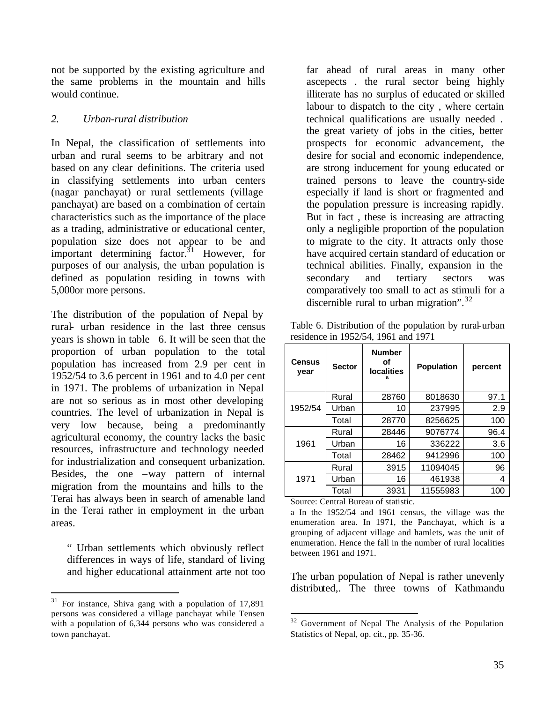not be supported by the existing agriculture and the same problems in the mountain and hills would continue.

## *2. Urban-rural distribution*

In Nepal, the classification of settlements into urban and rural seems to be arbitrary and not based on any clear definitions. The criteria used in classifying settlements into urban centers (nagar panchayat) or rural settlements (village panchayat) are based on a combination of certain characteristics such as the importance of the place as a trading, administrative or educational center, population size does not appear to be and important determining factor.<sup>31</sup> However, for purposes of our analysis, the urban population is defined as population residing in towns with 5,000or more persons.

The distribution of the population of Nepal by rural- urban residence in the last three census years is shown in table 6. It will be seen that the proportion of urban population to the total population has increased from 2.9 per cent in 1952/54 to 3.6 percent in 1961 and to 4.0 per cent in 1971. The problems of urbanization in Nepal are not so serious as in most other developing countries. The level of urbanization in Nepal is very low because, being a predominantly agricultural economy, the country lacks the basic resources, infrastructure and technology needed for industrialization and consequent urbanization. Besides, the one –way pattern of internal migration from the mountains and hills to the Terai has always been in search of amenable land in the Terai rather in employment in the urban areas.

" Urban settlements which obviously reflect differences in ways of life, standard of living and higher educational attainment arte not too

 $\overline{a}$ 

far ahead of rural areas in many other ascepects . the rural sector being highly illiterate has no surplus of educated or skilled labour to dispatch to the city , where certain technical qualifications are usually needed . the great variety of jobs in the cities, better prospects for economic advancement, the desire for social and economic independence, are strong inducement for young educated or trained persons to leave the country-side especially if land is short or fragmented and the population pressure is increasing rapidly. But in fact , these is increasing are attracting only a negligible proportion of the population to migrate to the city. It attracts only those have acquired certain standard of education or technical abilities. Finally, expansion in the secondary and tertiary sectors was comparatively too small to act as stimuli for a discernible rural to urban migration".<sup>32</sup>

| $100100100$ in $17000$ $17001$ and $1771$ |               |                                          |                   |         |  |  |  |  |
|-------------------------------------------|---------------|------------------------------------------|-------------------|---------|--|--|--|--|
| <b>Census</b><br>vear                     | <b>Sector</b> | <b>Number</b><br>οf<br><b>localities</b> | <b>Population</b> | percent |  |  |  |  |
|                                           | Rural         | 28760                                    | 8018630           | 97.1    |  |  |  |  |
| 1952/54                                   | Urban         | 10                                       | 237995            | 2.9     |  |  |  |  |
|                                           | Total         | 28770                                    | 8256625           | 100     |  |  |  |  |
| 1961                                      | Rural         | 28446                                    | 9076774           | 96.4    |  |  |  |  |
|                                           | Urban         | 16                                       | 336222            | 3.6     |  |  |  |  |
|                                           | Total         | 28462                                    | 9412996           | 100     |  |  |  |  |
| 1971                                      | Rural         | 3915                                     | 11094045          | 96      |  |  |  |  |
|                                           | Urban         | 16                                       | 461938            | 4       |  |  |  |  |
|                                           | Total         | 3931                                     | 11555983          | 100     |  |  |  |  |

Table 6. Distribution of the population by rural-urban residence in 1952/54, 1961 and 1971

Source: Central Bureau of statistic.

 $\overline{a}$ 

a In the 1952/54 and 1961 census, the village was the enumeration area. In 1971, the Panchayat, which is a grouping of adjacent village and hamlets, was the unit of enumeration. Hence the fall in the number of rural localities between 1961 and 1971.

The urban population of Nepal is rather unevenly distributed,. The three towns of Kathmandu

 $31$  For instance, Shiva gang with a population of 17,891 persons was considered a village panchayat while Tensen with a population of 6,344 persons who was considered a town panchayat.

 $32$  Government of Nepal The Analysis of the Population Statistics of Nepal, op. cit., pp. 35-36.